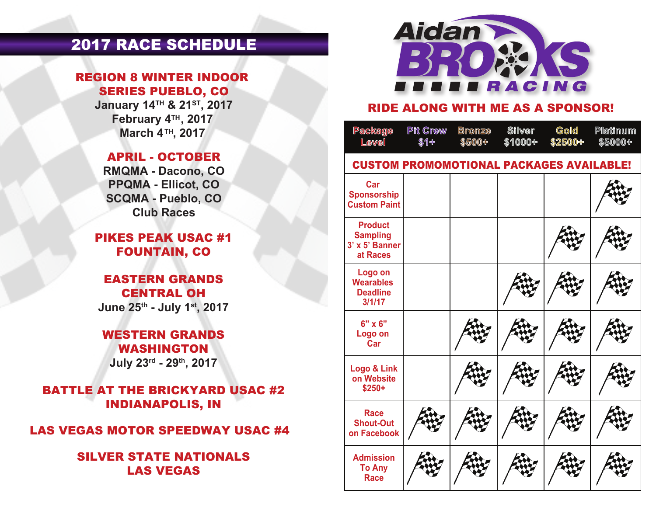# 2017 RACE SCHEDULE

#### REGION 8 WINTER INDOOR SERIES PUEBLO, CO

**January 14TH & 21ST, 2017 February 4<sup>TH</sup>, 2017 March 4™, 2017** 

#### APRIL - OCTOBER

**RMQMA - Dacono, CO PPQMA - Ellicot, CO SCQMA - Pueblo, CO Club Races**

### PIKES PEAK USAC #1 FOUNTAIN, CO

#### EASTERN GRANDS CENTRAL OH **June 25th - July 1st, 2017**

#### WESTERN GRANDS WASHINGTON **July 23rd - 29th, 2017**

BATTLE AT THE BRICKYARD USAC #2 INDIANAPOLIS, IN

LAS VEGAS MOTOR SPEEDWAY USAC #4

#### SILVER STATE NATIONALS LAS VEGAS



#### RIDE ALONG WITH ME AS A SPONSOR!

| Package<br>Level                                                | <b>Pit Crew</b><br>\$1+ | <b>Bronze</b><br>\$500+ | <b>Silver</b><br>\$1000+ | Gold<br>\$2500+ | Platinum<br>\$5000+ |  |  |  |
|-----------------------------------------------------------------|-------------------------|-------------------------|--------------------------|-----------------|---------------------|--|--|--|
| <b>CUSTOM PROMOMOTIONAL PACKAGES AVAILABLE!</b>                 |                         |                         |                          |                 |                     |  |  |  |
| Car<br><b>Sponsorship</b><br><b>Custom Paint</b>                |                         |                         |                          |                 |                     |  |  |  |
| <b>Product</b><br><b>Sampling</b><br>3' x 5' Banner<br>at Races |                         |                         |                          |                 |                     |  |  |  |
| Logo on<br><b>Wearables</b><br><b>Deadline</b><br>3/1/17        |                         |                         |                          |                 |                     |  |  |  |
| $6" \times 6"$<br>Logo on<br>Car                                |                         |                         |                          |                 |                     |  |  |  |
| Logo & Link<br>on Website<br>$$250+$                            |                         |                         |                          |                 |                     |  |  |  |
| <b>Race</b><br><b>Shout-Out</b><br>on Facebook                  |                         |                         |                          |                 |                     |  |  |  |
| <b>Admission</b><br><b>To Any</b><br><b>Race</b>                |                         |                         |                          |                 |                     |  |  |  |